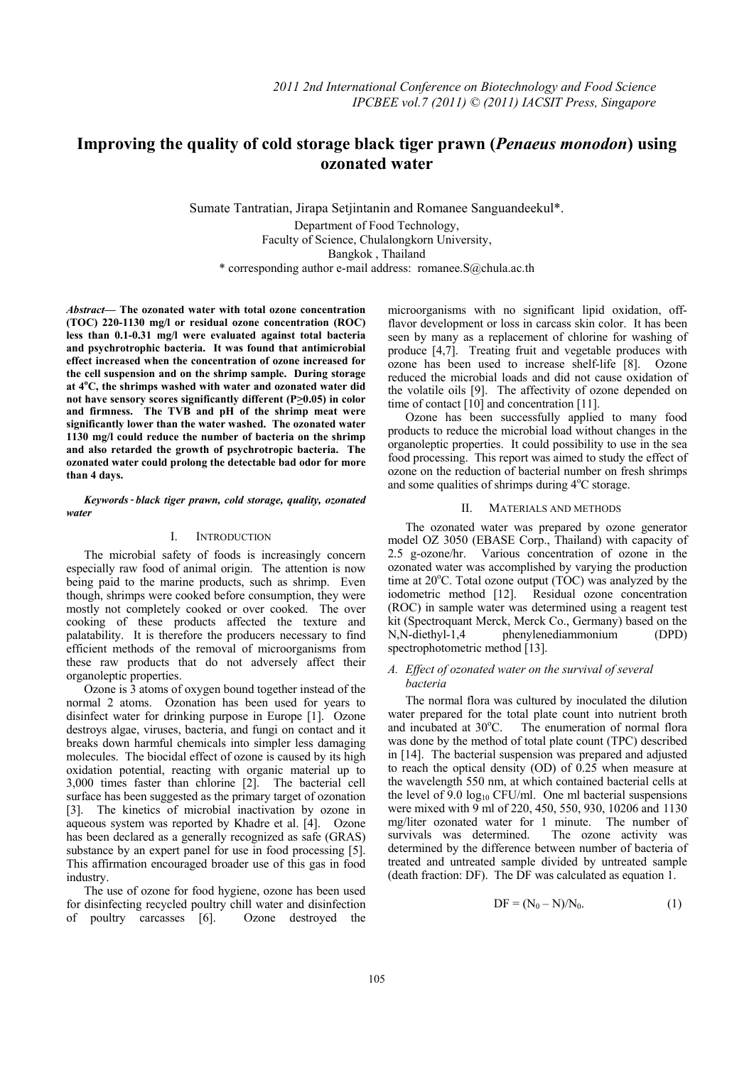# **Improving the quality of cold storage black tiger prawn (***Penaeus monodon***) using**   **ozonated water**

Sumate Tantratian, Jirapa Setjintanin and Romanee Sanguandeekul\*. Department of Food Technology, Faculty of Science, Chulalongkorn University, Bangkok , Thailand \* corresponding author e-mail address: romanee.S@chula.ac.th

*Abstract***— The ozonated water with total ozone concentration (TOC) 220-1130 mg/l or residual ozone concentration (ROC) less than 0.1-0.31 mg/l were evaluated against total bacteria and psychrotrophic bacteria. It was found that antimicrobial effect increased when the concentration of ozone increased for the cell suspension and on the shrimp sample. During storage at 4o C, the shrimps washed with water and ozonated water did**  not have sensory scores significantly different (P $\geq$ 0.05) in color **and firmness. The TVB and pH of the shrimp meat were significantly lower than the water washed. The ozonated water 1130 mg/l could reduce the number of bacteria on the shrimp and also retarded the growth of psychrotropic bacteria. The ozonated water could prolong the detectable bad odor for more than 4 days.** 

### *water Keywords- black tiger prawn, cold storage, quality, ozonated*

### I. INTRODUCTION

The microbial safety of foods is increasingly concern especially raw food of animal origin. The attention is now being paid to the marine products, such as shrimp. Even though, shrimps were cooked before consumption, they were mostly not completely cooked or over cooked. The over cooking of these products affected the texture and palatability. It is therefore the producers necessary to find efficient methods of the removal of microorganisms from these raw products that do not adversely affect their organoleptic properties.

Ozone is 3 atoms of oxygen bound together instead of the normal 2 atoms. Ozonation has been used for years to disinfect water for drinking purpose in Europe [1]. Ozone destroys algae, viruses, bacteria, and fungi on contact and it breaks down harmful chemicals into simpler less damaging molecules. The biocidal effect of ozone is caused by its high oxidation potential, reacting with organic material up to 3,000 times faster than chlorine [2]. The bacterial cell surface has been suggested as the primary target of ozonation [3]. The kinetics of microbial inactivation by ozone in aqueous system was reported by Khadre et al. [4]. Ozone has been declared as a generally recognized as safe (GRAS) substance by an expert panel for use in food processing [5]. This affirmation encouraged broader use of this gas in food industry.

The use of ozone for food hygiene, ozone has been used for disinfecting recycled poultry chill water and disinfection of poultry carcasses [6]. Ozone destroyed the microorganisms with no significant lipid oxidation, offflavor development or loss in carcass skin color. It has been seen by many as a replacement of chlorine for washing of produce [4,7]. Treating fruit and vegetable produces with ozone has been used to increase shelf-life [8]. Ozone reduced the microbial loads and did not cause oxidation of the volatile oils [9]. The affectivity of ozone depended on time of contact [10] and concentration [11].

Ozone has been successfully applied to many food products to reduce the microbial load without changes in the organoleptic properties. It could possibility to use in the sea food processing. This report was aimed to study the effect of ozone on the reduction of bacterial number on fresh shrimps and some qualities of shrimps during  $4^{\circ}$ C storage.

### II. MATERIALS AND METHODS

The ozonated water was prepared by ozone generator model OZ 3050 (EBASE Corp., Thailand) with capacity of 2.5 g-ozone/hr. Various concentration of ozone in the ozonated water was accomplished by varying the production time at 20°C. Total ozone output (TOC) was analyzed by the iodometric method [12]. Residual ozone concentration (ROC) in sample water was determined using a reagent test kit (Spectroquant Merck, Merck Co., Germany) based on the N,N-diethyl-1,4 phenylenediammonium (DPD) spectrophotometric method [13].

# *A. Effect of ozonated water on the survival of several bacteria*

The normal flora was cultured by inoculated the dilution water prepared for the total plate count into nutrient broth and incubated at  $30^{\circ}$ C. The enumeration of normal flora was done by the method of total plate count (TPC) described in [14]. The bacterial suspension was prepared and adjusted to reach the optical density (OD) of  $0.25$  when measure at the wavelength 550 nm, at which contained bacterial cells at the level of 9.0  $log_{10}$  CFU/ml. One ml bacterial suspensions were mixed with 9 ml of 220, 450, 550, 930, 10206 and 1130 mg/liter ozonated water for 1 minute. The number of survivals was determined. The ozone activity was determined by the difference between number of bacteria of treated and untreated sample divided by untreated sample (death fraction: DF). The DF was calculated as equation 1.

$$
DF = (N_0 - N)/N_0.
$$
 (1)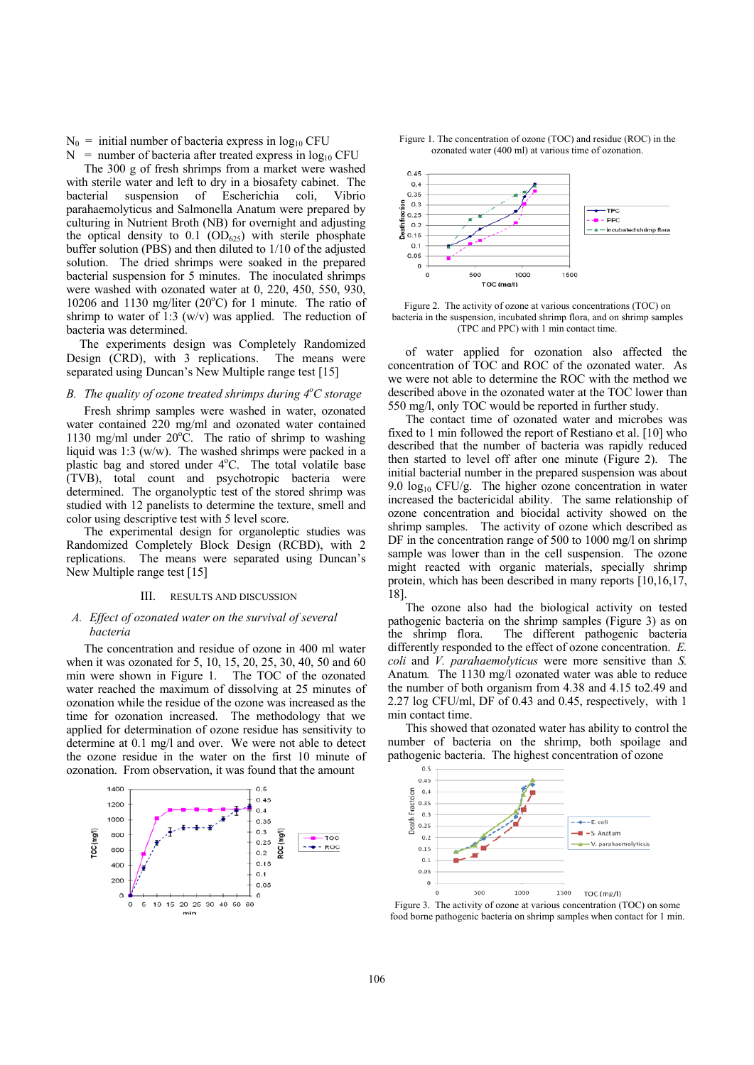$N_0$  = initial number of bacteria express in  $log_{10}$  CFU

 $N =$  number of bacteria after treated express in  $log_{10}$  CFU

The 300 g of fresh shrimps from a market were washed with sterile water and left to dry in a biosafety cabinet. The bacterial suspension of Escherichia coli, Vibrio parahaemolyticus and Salmonella Anatum were prepared by culturing in Nutrient Broth (NB) for overnight and adjusting the optical density to  $0.1$  (OD<sub>625</sub>) with sterile phosphate buffer solution (PBS) and then diluted to 1/10 of the adjusted solution. The dried shrimps were soaked in the prepared bacterial suspension for 5 minutes. The inoculated shrimps were washed with ozonated water at 0, 220, 450, 550, 930, 10206 and 1130 mg/liter  $(20^{\circ}C)$  for 1 minute. The ratio of shrimp to water of 1:3 (w/v) was applied. The reduction of bacteria was determined.

The experiments design was Completely Randomized Design (CRD), with 3 replications. The means were separated using Duncan's New Multiple range test [15]

# *B. The quality of ozone treated shrimps during 4o C storage*

Fresh shrimp samples were washed in water, ozonated water contained 220 mg/ml and ozonated water contained 1130 mg/ml under  $20^{\circ}$ C. The ratio of shrimp to washing liquid was 1:3 (w/w). The washed shrimps were packed in a plastic bag and stored under 4°C. The total volatile base (TVB), total count and psychotropic bacteria were determined. The organolyptic test of the stored shrimp was studied with 12 panelists to determine the texture, smell and color using descriptive test with 5 level score.

The experimental design for organoleptic studies was Randomized Completely Block Design (RCBD), with 2 replications. The means were separated using Duncan's New Multiple range test [15]

#### III. RESULTS AND DISCUSSION

# *A. Effect of ozonated water on the survival of several bacteria*

The concentration and residue of ozone in 400 ml water when it was ozonated for 5, 10, 15, 20, 25, 30, 40, 50 and 60 min were shown in Figure 1. The TOC of the ozonated water reached the maximum of dissolving at 25 minutes of ozonation while the residue of the ozone was increased as the time for ozonation increased. The methodology that we applied for determination of ozone residue has sensitivity to determine at 0.1 mg/l and over. We were not able to detect the ozone residue in the water on the first 10 minute of ozonation. From observation, it was found that the amount







Figure 2. The activity of ozone at various concentrations (TOC) on bacteria in the suspension, incubated shrimp flora, and on shrimp samples (TPC and PPC) with 1 min contact time.

of water applied for ozonation also affected the concentration of TOC and ROC of the ozonated water. As we were not able to determine the ROC with the method we described above in the ozonated water at the TOC lower than 550 mg/l, only TOC would be reported in further study.

The contact time of ozonated water and microbes was fixed to 1 min followed the report of Restiano et al. [10] who described that the number of bacteria was rapidly reduced then started to level off after one minute (Figure 2). The initial bacterial number in the prepared suspension was about 9.0  $log_{10}$  CFU/g. The higher ozone concentration in water increased the bactericidal ability. The same relationship of ozone concentration and biocidal activity showed on the shrimp samples. The activity of ozone which described as DF in the concentration range of 500 to 1000 mg/l on shrimp sample was lower than in the cell suspension. The ozone might reacted with organic materials, specially shrimp protein, which has been described in many reports [10,16,17, 18].

The ozone also had the biological activity on tested pathogenic bacteria on the shrimp samples (Figure 3) as on the shrimp flora. The different pathogenic bacteria differently responded to the effect of ozone concentration. *E. coli* and *V. parahaemolyticus* were more sensitive than *S.*  Anatum*.* The 1130 mg/l ozonated water was able to reduce the number of both organism from 4.38 and 4.15 to2.49 and 2.27 log CFU/ml, DF of 0.43 and 0.45, respectively, with 1 min contact time.

This showed that ozonated water has ability to control the number of bacteria on the shrimp, both spoilage and pathogenic bacteria. The highest concentration of ozone



Figure 3. The activity of ozone at various concentration (TOC) on some food borne pathogenic bacteria on shrimp samples when contact for 1 min.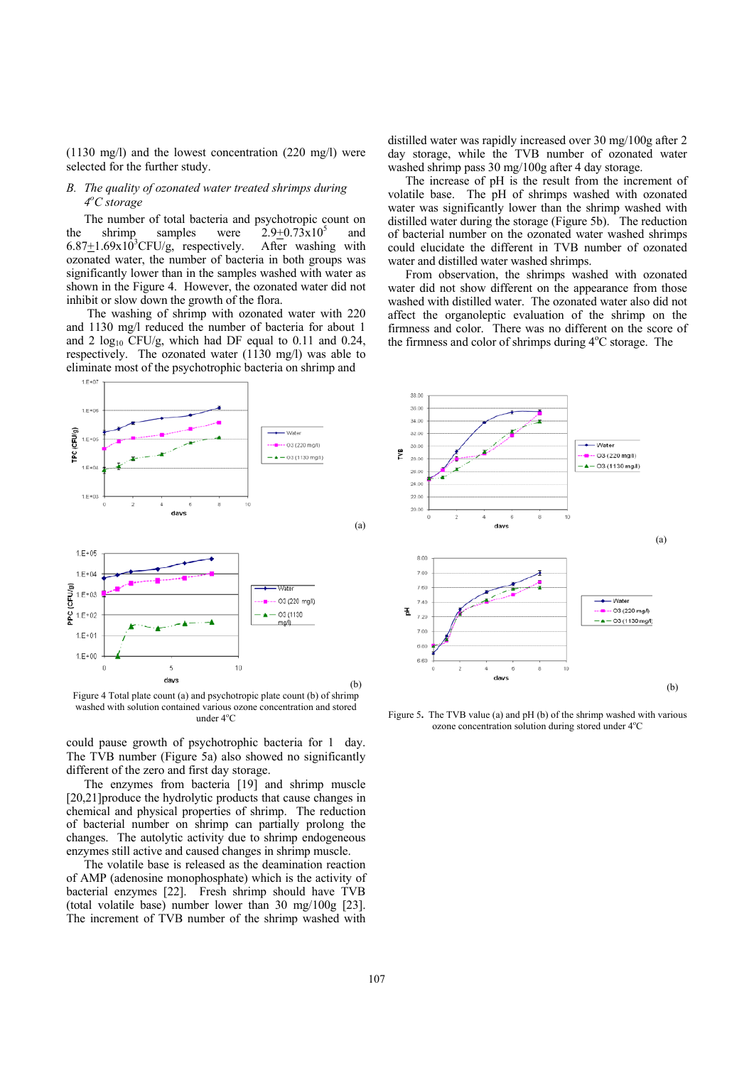(1130 mg/l) and the lowest concentration (220 mg/l) were selected for the further study.

# *B. The quality of ozonated water treated shrimps during 4o C storage*

The number of total bacteria and psychotropic count on the shrimp samples were  $2.9+0.73x10^5$  and  $6.87 \pm 1.69 \times 10^{3}$ CFU/g, respectively. After washing with ozonated water, the number of bacteria in both groups was significantly lower than in the samples washed with water as shown in the Figure 4. However, the ozonated water did not inhibit or slow down the growth of the flora.

 The washing of shrimp with ozonated water with 220 and 1130 mg/l reduced the number of bacteria for about 1 and 2  $log_{10}$  CFU/g, which had DF equal to 0.11 and 0.24, respectively. The ozonated water (1130 mg/l) was able to eliminate most of the psychotrophic bacteria on shrimp and



Figure 4 Total plate count (a) and psychotropic plate count (b) of shrimp washed with solution contained various ozone concentration and stored under 4°C

could pause growth of psychotrophic bacteria for 1 day. The TVB number (Figure 5a) also showed no significantly different of the zero and first day storage.

The enzymes from bacteria [19] and shrimp muscle [20,21]produce the hydrolytic products that cause changes in chemical and physical properties of shrimp. The reduction of bacterial number on shrimp can partially prolong the changes. The autolytic activity due to shrimp endogeneous enzymes still active and caused changes in shrimp muscle.

The volatile base is released as the deamination reaction of AMP (adenosine monophosphate) which is the activity of bacterial enzymes [22]. Fresh shrimp should have TVB (total volatile base) number lower than 30 mg/100g [23]. The increment of TVB number of the shrimp washed with

distilled water was rapidly increased over 30 mg/100g after 2 day storage, while the TVB number of ozonated water washed shrimp pass 30 mg/100g after 4 day storage.

The increase of pH is the result from the increment of volatile base. The pH of shrimps washed with ozonated water was significantly lower than the shrimp washed with distilled water during the storage (Figure 5b). The reduction of bacterial number on the ozonated water washed shrimps could elucidate the different in TVB number of ozonated water and distilled water washed shrimps.

From observation, the shrimps washed with ozonated water did not show different on the appearance from those washed with distilled water. The ozonated water also did not affect the organoleptic evaluation of the shrimp on the firmness and color. There was no different on the score of the firmness and color of shrimps during 4°C storage. The



Figure 5**.** The TVB value (a) and pH (b) of the shrimp washed with various ozone concentration solution during stored under 4°C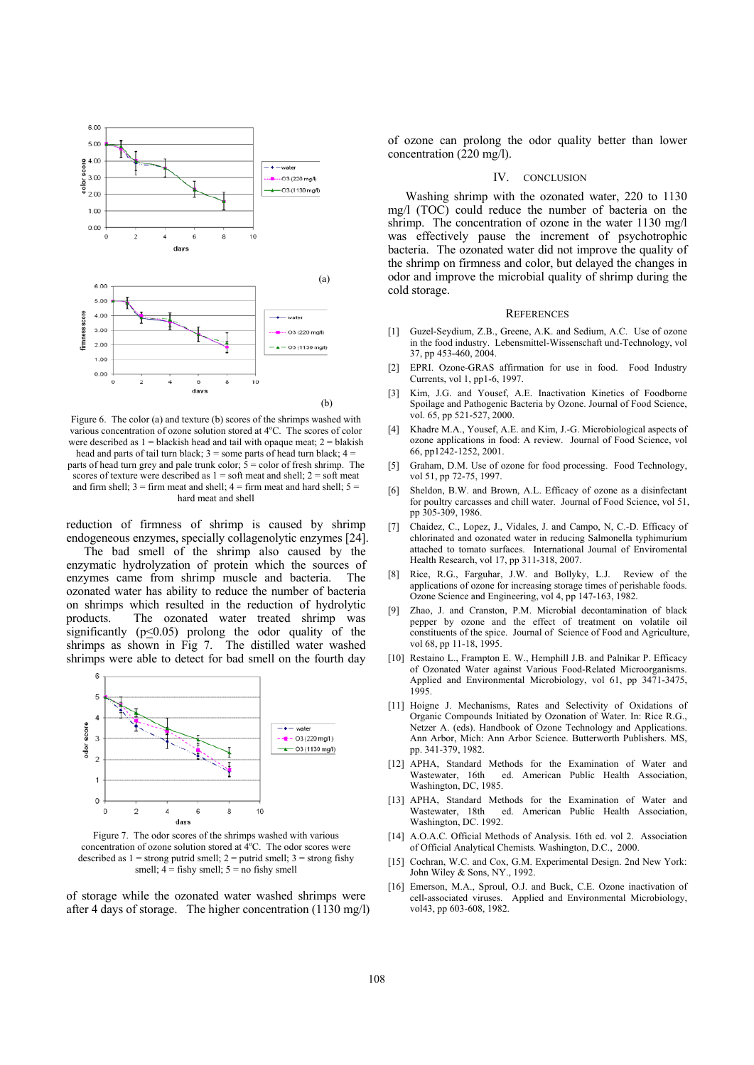

Figure 6. The color (a) and texture (b) scores of the shrimps washed with various concentration of ozone solution stored at 4°C. The scores of color were described as  $1 =$  blackish head and tail with opaque meat;  $2 =$  blakish head and parts of tail turn black;  $3 =$ some parts of head turn black;  $4 =$ parts of head turn grey and pale trunk color;  $\dot{5}$  = color of fresh shrimp. The scores of texture were described as  $1 = \text{soft}$  meat and shell;  $2 = \text{soft}$  meat and firm shell;  $3 =$  firm meat and shell;  $4 =$  firm meat and hard shell;  $5 =$ hard meat and shell

reduction of firmness of shrimp is caused by shrimp endogeneous enzymes, specially collagenolytic enzymes [24].

The bad smell of the shrimp also caused by the enzymatic hydrolyzation of protein which the sources of enzymes came from shrimp muscle and bacteria. The ozonated water has ability to reduce the number of bacteria on shrimps which resulted in the reduction of hydrolytic products. The ozonated water treated shrimp was significantly  $(p \le 0.05)$  prolong the odor quality of the shrimps as shown in Fig 7. The distilled water washed shrimps were able to detect for bad smell on the fourth day



Figure 7. The odor scores of the shrimps washed with various concentration of ozone solution stored at 4°C. The odor scores were described as  $1 =$  strong putrid smell;  $2 =$  putrid smell;  $3 =$  strong fishy smell;  $4 =$  fishy smell;  $5 =$  no fishy smell

of storage while the ozonated water washed shrimps were after 4 days of storage. The higher concentration (1130 mg/l) of ozone can prolong the odor quality better than lower concentration (220 mg/l).

### IV. CONCLUSION

Washing shrimp with the ozonated water, 220 to 1130 mg/l (TOC) could reduce the number of bacteria on the shrimp. The concentration of ozone in the water 1130 mg/l was effectively pause the increment of psychotrophic bacteria. The ozonated water did not improve the quality of the shrimp on firmness and color, but delayed the changes in odor and improve the microbial quality of shrimp during the cold storage.

#### **REFERENCES**

- [1] Guzel-Seydium, Z.B., Greene, A.K. and Sedium, A.C. Use of ozone in the food industry. Lebensmittel-Wissenschaft und-Technology, vol 37, pp 453-460, 2004.
- [2] EPRI. Ozone-GRAS affirmation for use in food. Food Industry Currents, vol 1, pp1-6, 1997.
- Kim, J.G. and Yousef, A.E. Inactivation Kinetics of Foodborne Spoilage and Pathogenic Bacteria by Ozone. Journal of Food Science, vol. 65, pp 521-527, 2000.
- [4] Khadre M.A., Yousef, A.E. and Kim, J.-G. Microbiological aspects of ozone applications in food: A review. Journal of Food Science, vol 66, pp1242-1252, 2001.
- [5] Graham, D.M. Use of ozone for food processing. Food Technology, vol 51, pp 72-75, 1997.
- [6] Sheldon, B.W. and Brown, A.L. Efficacy of ozone as a disinfectant for poultry carcasses and chill water. Journal of Food Science, vol 51, pp 305-309, 1986.
- [7] Chaidez, C., Lopez, J., Vidales, J. and Campo, N, C.-D. Efficacy of chlorinated and ozonated water in reducing Salmonella typhimurium attached to tomato surfaces. International Journal of Enviromental Health Research, vol 17, pp 311-318, 2007.
- [8] Rice, R.G., Farguhar, J.W. and Bollyky, L.J. Review of the applications of ozone for increasing storage times of perishable foods. Ozone Science and Engineering, vol 4, pp 147-163, 1982.
- Zhao, J. and Cranston, P.M. Microbial decontamination of black pepper by ozone and the effect of treatment on volatile oil constituents of the spice. Journal of Science of Food and Agriculture, vol 68, pp 11-18, 1995.
- [10] Restaino L., Frampton E. W., Hemphill J.B. and Palnikar P. Efficacy of Ozonated Water against Various Food-Related Microorganisms. Applied and Environmental Microbiology, vol 61, pp 3471-3475, 1995.
- [11] Hoigne J. Mechanisms, Rates and Selectivity of Oxidations of Organic Compounds Initiated by Ozonation of Water. In: Rice R.G., Netzer A. (eds). Handbook of Ozone Technology and Applications. Ann Arbor, Mich: Ann Arbor Science. Butterworth Publishers. MS, pp. 341-379, 1982.
- [12] APHA, Standard Methods for the Examination of Water and Wastewater, 16th ed. American Public Health Association, Washington, DC, 1985.
- [13] APHA, Standard Methods for the Examination of Water and Wastewater, 18th ed. American Public Health Association, Washington, DC. 1992.
- [14] A.O.A.C. Official Methods of Analysis. 16th ed. vol 2. Association of Official Analytical Chemists. Washington, D.C., 2000.
- [15] Cochran, W.C. and Cox, G.M. Experimental Design. 2nd New York: John Wiley & Sons, NY., 1992.
- [16] Emerson, M.A., Sproul, O.J. and Buck, C.E. Ozone inactivation of cell-associated viruses. Applied and Environmental Microbiology, vol43, pp 603-608, 1982.